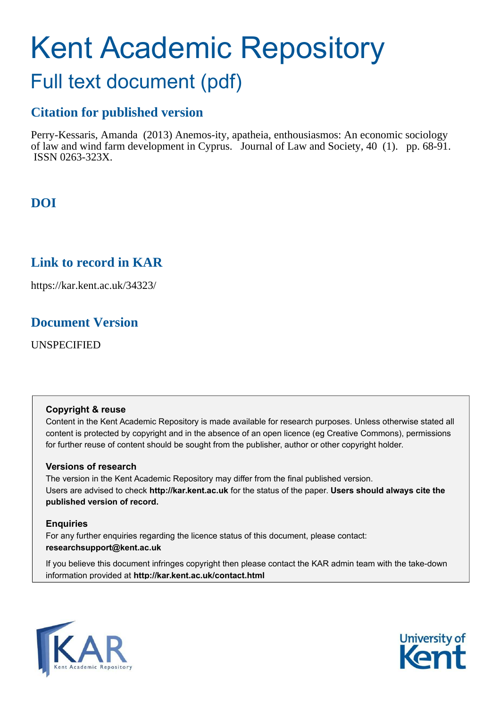# Kent Academic Repository

## Full text document (pdf)

## **Citation for published version**

Perry-Kessaris, Amanda (2013) Anemos-ity, apatheia, enthousiasmos: An economic sociology of law and wind farm development in Cyprus. Journal of Law and Society, 40 (1). pp. 68-91. ISSN 0263-323X.

## **DOI**

## **Link to record in KAR**

https://kar.kent.ac.uk/34323/

### **Document Version**

UNSPECIFIED

#### **Copyright & reuse**

Content in the Kent Academic Repository is made available for research purposes. Unless otherwise stated all content is protected by copyright and in the absence of an open licence (eg Creative Commons), permissions for further reuse of content should be sought from the publisher, author or other copyright holder.

#### **Versions of research**

The version in the Kent Academic Repository may differ from the final published version. Users are advised to check **http://kar.kent.ac.uk** for the status of the paper. **Users should always cite the published version of record.**

#### **Enquiries**

For any further enquiries regarding the licence status of this document, please contact: **researchsupport@kent.ac.uk**

If you believe this document infringes copyright then please contact the KAR admin team with the take-down information provided at **http://kar.kent.ac.uk/contact.html**



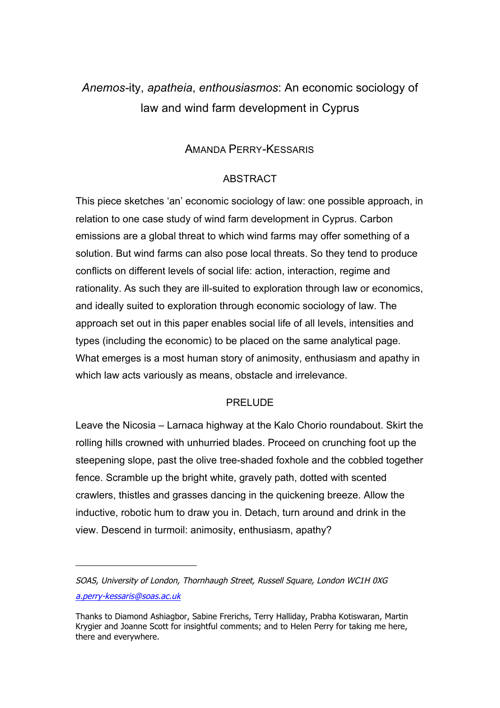## *Anemos-*ity, *apatheia*, *enthousiasmos*: An economic sociology of law and wind farm development in Cyprus

#### AMANDA PERRY-KESSARIS

#### ABSTRACT

This piece sketches 'an' economic sociology of law: one possible approach, in relation to one case study of wind farm development in Cyprus. Carbon emissions are a global threat to which wind farms may offer something of a solution. But wind farms can also pose local threats. So they tend to produce conflicts on different levels of social life: action, interaction, regime and rationality. As such they are ill-suited to exploration through law or economics, and ideally suited to exploration through economic sociology of law. The approach set out in this paper enables social life of all levels, intensities and types (including the economic) to be placed on the same analytical page. What emerges is a most human story of animosity, enthusiasm and apathy in which law acts variously as means, obstacle and irrelevance.

#### PRELUDE

Leave the Nicosia – Larnaca highway at the Kalo Chorio roundabout. Skirt the rolling hills crowned with unhurried blades. Proceed on crunching foot up the steepening slope, past the olive tree-shaded foxhole and the cobbled together fence. Scramble up the bright white, gravely path, dotted with scented crawlers, thistles and grasses dancing in the quickening breeze. Allow the inductive, robotic hum to draw you in. Detach, turn around and drink in the view. Descend in turmoil: animosity, enthusiasm, apathy?

 $\overline{a}$ 

SOAS, University of London, Thornhaugh Street, Russell Square, London WC1H 0XG a.perry-kessaris@soas.ac.uk

Thanks to Diamond Ashiagbor, Sabine Frerichs, Terry Halliday, Prabha Kotiswaran, Martin Krygier and Joanne Scott for insightful comments; and to Helen Perry for taking me here, there and everywhere.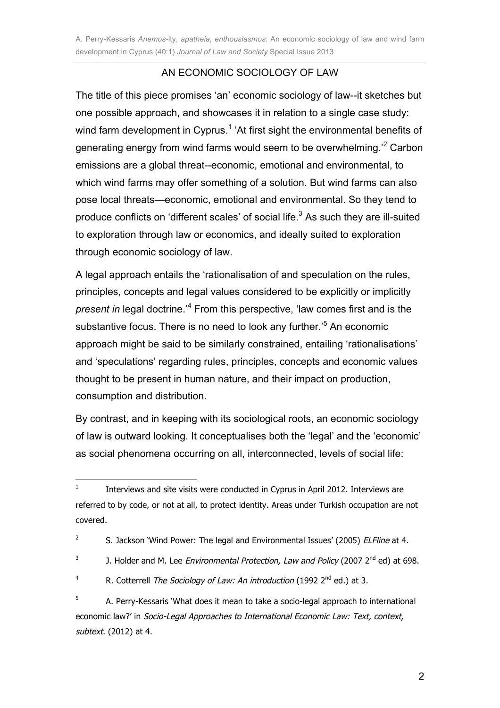#### AN ECONOMIC SOCIOLOGY OF LAW

The title of this piece promises 'an' economic sociology of law--it sketches but one possible approach, and showcases it in relation to a single case study: wind farm development in Cyprus.<sup>1</sup> 'At first sight the environmental benefits of generating energy from wind farms would seem to be overwhelming.<sup>'2</sup> Carbon emissions are a global threat--economic, emotional and environmental, to which wind farms may offer something of a solution. But wind farms can also pose local threats—economic, emotional and environmental. So they tend to produce conflicts on 'different scales' of social life. $3$  As such they are ill-suited to exploration through law or economics, and ideally suited to exploration through economic sociology of law.

A legal approach entails the 'rationalisation of and speculation on the rules, principles, concepts and legal values considered to be explicitly or implicitly present in legal doctrine.<sup>4</sup> From this perspective, 'law comes first and is the substantive focus. There is no need to look any further.'<sup>5</sup> An economic approach might be said to be similarly constrained, entailing 'rationalisations' and 'speculations' regarding rules, principles, concepts and economic values thought to be present in human nature, and their impact on production, consumption and distribution.

By contrast, and in keeping with its sociological roots, an economic sociology of law is outward looking. It conceptualises both the 'legal' and the 'economic' as social phenomena occurring on all, interconnected, levels of social life:

 $\frac{1}{1}$  Interviews and site visits were conducted in Cyprus in April 2012. Interviews are referred to by code, or not at all, to protect identity. Areas under Turkish occupation are not covered.

<sup>2</sup> S. Jackson 'Wind Power: The legal and Environmental Issues' (2005) ELFline at 4.

<sup>3</sup> J. Holder and M. Lee Environmental Protection, Law and Policy (2007 2<sup>nd</sup> ed) at 698.

<sup>4</sup> R. Cotterrell The Sociology of Law: An introduction (1992 2<sup>nd</sup> ed.) at 3.

<sup>5</sup> A. Perry-Kessaris 'What does it mean to take a socio-legal approach to international economic law?' in Socio-Legal Approaches to International Economic Law: Text, context, subtext. (2012) at 4.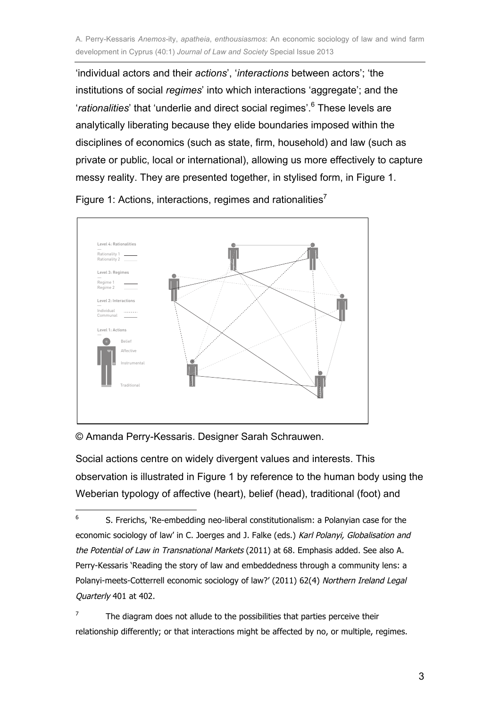'individual actors and their *actions*', '*interactions* between actors'; 'the institutions of social *regimes*' into which interactions 'aggregate'; and the '*rationalities*' that 'underlie and direct social regimes'.<sup>6</sup> These levels are analytically liberating because they elide boundaries imposed within the disciplines of economics (such as state, firm, household) and law (such as private or public, local or international), allowing us more effectively to capture messy reality. They are presented together, in stylised form, in Figure 1.



Figure 1: Actions, interactions, regimes and rationalities<sup>7</sup>

© Amanda Perry-Kessaris. Designer Sarah Schrauwen.

Social actions centre on widely divergent values and interests. This observation is illustrated in Figure 1 by reference to the human body using the Weberian typology of affective (heart), belief (head), traditional (foot) and

<sup>—&</sup>lt;br>6 S. Frerichs, 'Re-embedding neo-liberal constitutionalism: a Polanyian case for the economic sociology of law' in C. Joerges and J. Falke (eds.) Karl Polanyi, Globalisation and the Potential of Law in Transnational Markets (2011) at 68. Emphasis added. See also A. Perry-Kessaris 'Reading the story of law and embeddedness through a community lens: a Polanyi-meets-Cotterrell economic sociology of law?' (2011) 62(4) Northern Ireland Legal Quarterly 401 at 402.

<sup>7</sup> The diagram does not allude to the possibilities that parties perceive their relationship differently; or that interactions might be affected by no, or multiple, regimes.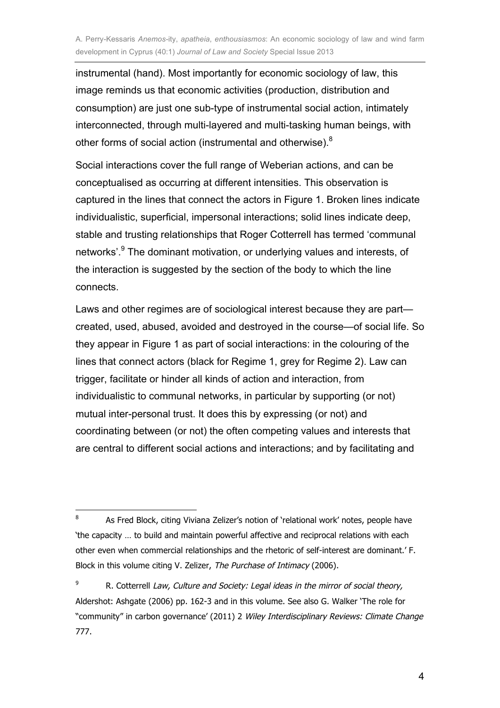instrumental (hand). Most importantly for economic sociology of law, this image reminds us that economic activities (production, distribution and consumption) are just one sub-type of instrumental social action, intimately interconnected, through multi-layered and multi-tasking human beings, with other forms of social action (instrumental and otherwise).<sup>8</sup>

Social interactions cover the full range of Weberian actions, and can be conceptualised as occurring at different intensities. This observation is captured in the lines that connect the actors in Figure 1. Broken lines indicate individualistic, superficial, impersonal interactions; solid lines indicate deep, stable and trusting relationships that Roger Cotterrell has termed 'communal networks'.<sup>9</sup> The dominant motivation, or underlying values and interests, of the interaction is suggested by the section of the body to which the line connects.

Laws and other regimes are of sociological interest because they are part created, used, abused, avoided and destroyed in the course—of social life. So they appear in Figure 1 as part of social interactions: in the colouring of the lines that connect actors (black for Regime 1, grey for Regime 2). Law can trigger, facilitate or hinder all kinds of action and interaction, from individualistic to communal networks, in particular by supporting (or not) mutual inter-personal trust. It does this by expressing (or not) and coordinating between (or not) the often competing values and interests that are central to different social actions and interactions; and by facilitating and

 $\frac{1}{8}$  As Fred Block, citing Viviana Zelizer's notion of 'relational work' notes, people have 'the capacity … to build and maintain powerful affective and reciprocal relations with each other even when commercial relationships and the rhetoric of self-interest are dominant.' F. Block in this volume citing V. Zelizer, The Purchase of Intimacy (2006).

<sup>9</sup> R. Cotterrell Law, Culture and Society: Legal ideas in the mirror of social theory, Aldershot: Ashgate (2006) pp. 162-3 and in this volume. See also G. Walker 'The role for "community" in carbon governance' (2011) 2 Wiley Interdisciplinary Reviews: Climate Change 777.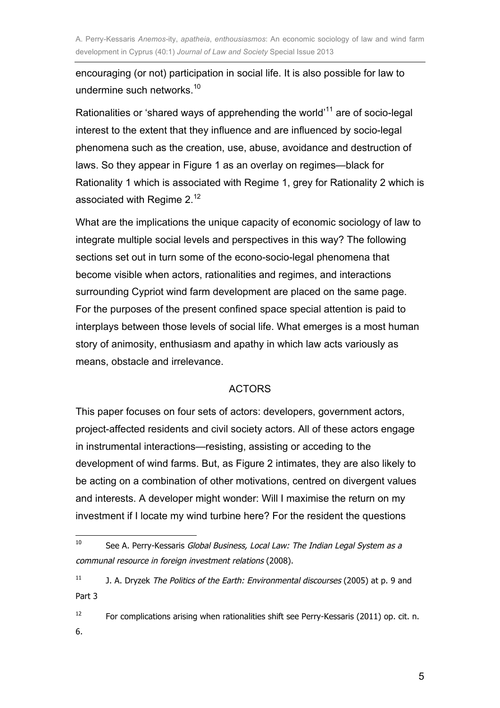encouraging (or not) participation in social life. It is also possible for law to undermine such networks.<sup>10</sup>

Rationalities or 'shared ways of apprehending the world'<sup>11</sup> are of socio-legal interest to the extent that they influence and are influenced by socio-legal phenomena such as the creation, use, abuse, avoidance and destruction of laws. So they appear in Figure 1 as an overlay on regimes—black for Rationality 1 which is associated with Regime 1, grey for Rationality 2 which is associated with Regime 2.<sup>12</sup>

What are the implications the unique capacity of economic sociology of law to integrate multiple social levels and perspectives in this way? The following sections set out in turn some of the econo-socio-legal phenomena that become visible when actors, rationalities and regimes, and interactions surrounding Cypriot wind farm development are placed on the same page. For the purposes of the present confined space special attention is paid to interplays between those levels of social life. What emerges is a most human story of animosity, enthusiasm and apathy in which law acts variously as means, obstacle and irrelevance.

#### ACTORS

This paper focuses on four sets of actors: developers, government actors, project-affected residents and civil society actors. All of these actors engage in instrumental interactions—resisting, assisting or acceding to the development of wind farms. But, as Figure 2 intimates, they are also likely to be acting on a combination of other motivations, centred on divergent values and interests. A developer might wonder: Will I maximise the return on my investment if I locate my wind turbine here? For the resident the questions

 $\frac{1}{10}$ See A. Perry-Kessaris Global Business, Local Law: The Indian Legal System as a communal resource in foreign investment relations (2008).

<sup>11</sup> J. A. Dryzek The Politics of the Earth: Environmental discourses (2005) at p. 9 and Part 3

<sup>12</sup> For complications arising when rationalities shift see Perry-Kessaris (2011) op. cit. n. 6.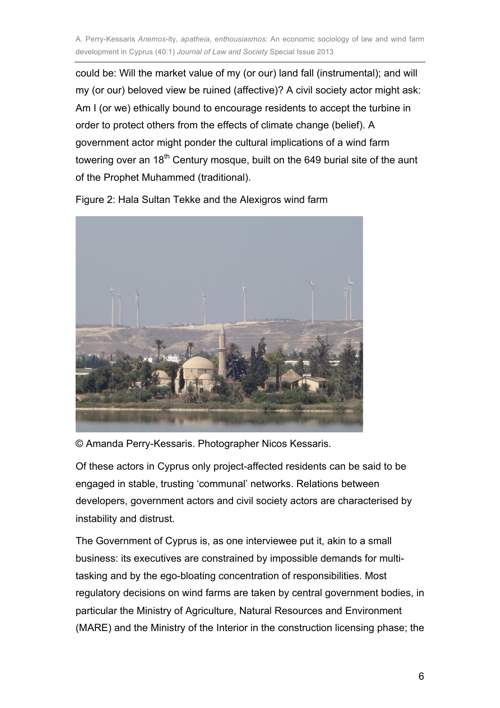could be: Will the market value of my (or our) land fall (instrumental); and will my (or our) beloved view be ruined (affective)? A civil society actor might ask: Am I (or we) ethically bound to encourage residents to accept the turbine in order to protect others from the effects of climate change (belief). A government actor might ponder the cultural implications of a wind farm towering over an 18<sup>th</sup> Century mosque, built on the 649 burial site of the aunt of the Prophet Muhammed (traditional).



Figure 2: Hala Sultan Tekke and the Alexigros wind farm

© Amanda Perry-Kessaris. Photographer Nicos Kessaris.

Of these actors in Cyprus only project-affected residents can be said to be engaged in stable, trusting 'communal' networks. Relations between developers, government actors and civil society actors are characterised by instability and distrust.

The Government of Cyprus is, as one interviewee put it, akin to a small business: its executives are constrained by impossible demands for multitasking and by the ego-bloating concentration of responsibilities. Most regulatory decisions on wind farms are taken by central government bodies, in particular the Ministry of Agriculture, Natural Resources and Environment (MARE) and the Ministry of the Interior in the construction licensing phase; the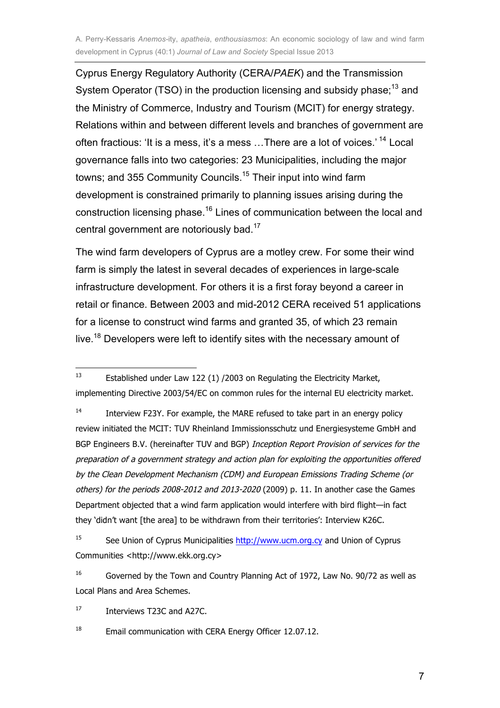Cyprus Energy Regulatory Authority (CERA/*PAEK*) and the Transmission System Operator (TSO) in the production licensing and subsidy phase;<sup>13</sup> and the Ministry of Commerce, Industry and Tourism (MCIT) for energy strategy. Relations within and between different levels and branches of government are often fractious: 'It is a mess, it's a mess …There are a lot of voices.' <sup>14</sup> Local governance falls into two categories: 23 Municipalities, including the major towns; and 355 Community Councils.<sup>15</sup> Their input into wind farm development is constrained primarily to planning issues arising during the construction licensing phase.<sup>16</sup> Lines of communication between the local and central government are notoriously bad.<sup>17</sup>

The wind farm developers of Cyprus are a motley crew. For some their wind farm is simply the latest in several decades of experiences in large-scale infrastructure development. For others it is a first foray beyond a career in retail or finance. Between 2003 and mid-2012 CERA received 51 applications for a license to construct wind farms and granted 35, of which 23 remain live.<sup>18</sup> Developers were left to identify sites with the necessary amount of

17 Interviews T23C and A27C.

18 Email communication with CERA Energy Officer 12.07.12.

 $\frac{1}{13}$  Established under Law 122 (1) /2003 on Regulating the Electricity Market, implementing Directive 2003/54/EC on common rules for the internal EU electricity market.

<sup>14</sup> Interview F23Y. For example, the MARE refused to take part in an energy policy review initiated the MCIT: TUV Rheinland Immissionsschutz und Energiesysteme GmbH and BGP Engineers B.V. (hereinafter TUV and BGP) Inception Report Provision of services for the preparation of a government strategy and action plan for exploiting the opportunities offered by the Clean Development Mechanism (CDM) and European Emissions Trading Scheme (or others) for the periods 2008-2012 and 2013-2020 (2009) p. 11. In another case the Games Department objected that a wind farm application would interfere with bird flight—in fact they 'didn't want [the area] to be withdrawn from their territories': Interview K26C.

<sup>15</sup> See Union of Cyprus Municipalities http://www.ucm.org.cy and Union of Cyprus Communities <http://www.ekk.org.cy>

<sup>16</sup> Governed by the Town and Country Planning Act of 1972, Law No. 90/72 as well as Local Plans and Area Schemes.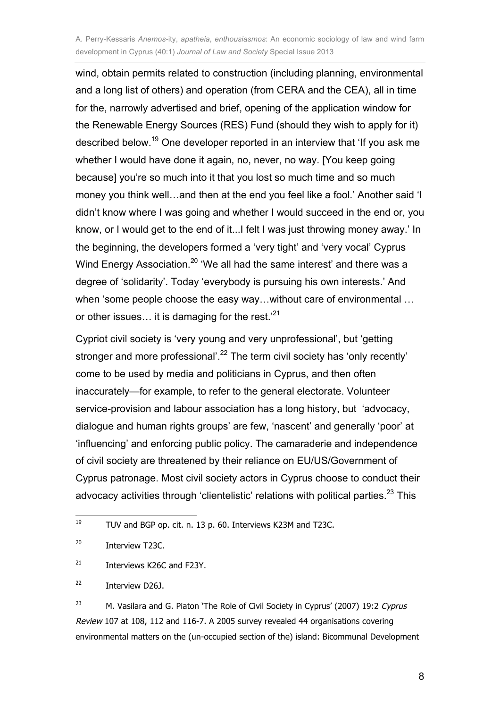wind, obtain permits related to construction (including planning, environmental and a long list of others) and operation (from CERA and the CEA), all in time for the, narrowly advertised and brief, opening of the application window for the Renewable Energy Sources (RES) Fund (should they wish to apply for it) described below.<sup>19</sup> One developer reported in an interview that 'If you ask me whether I would have done it again, no, never, no way. [You keep going because] you're so much into it that you lost so much time and so much money you think well…and then at the end you feel like a fool.' Another said 'I didn't know where I was going and whether I would succeed in the end or, you know, or I would get to the end of it...I felt I was just throwing money away.' In the beginning, the developers formed a 'very tight' and 'very vocal' Cyprus Wind Energy Association.<sup>20</sup> 'We all had the same interest' and there was a degree of 'solidarity'. Today 'everybody is pursuing his own interests.' And when 'some people choose the easy way…without care of environmental … or other issues... it is damaging for the rest.<sup>21</sup>

Cypriot civil society is 'very young and very unprofessional', but 'getting stronger and more professional'.<sup>22</sup> The term civil society has 'only recently' come to be used by media and politicians in Cyprus, and then often inaccurately—for example, to refer to the general electorate. Volunteer service-provision and labour association has a long history, but 'advocacy, dialogue and human rights groups' are few, 'nascent' and generally 'poor' at 'influencing' and enforcing public policy. The camaraderie and independence of civil society are threatened by their reliance on EU/US/Government of Cyprus patronage. Most civil society actors in Cyprus choose to conduct their advocacy activities through 'clientelistic' relations with political parties.<sup>23</sup> This

23 M. Vasilara and G. Piaton 'The Role of Civil Society in Cyprus' (2007) 19:2 Cyprus Review 107 at 108, 112 and 116-7. A 2005 survey revealed 44 organisations covering environmental matters on the (un-occupied section of the) island: Bicommunal Development

<sup>—&</sup>lt;br>19 TUV and BGP op. cit. n. 13 p. 60. Interviews K23M and T23C.

<sup>20</sup> Interview T23C.

<sup>21</sup> Interviews K26C and F23Y.

<sup>22</sup> Interview D26J.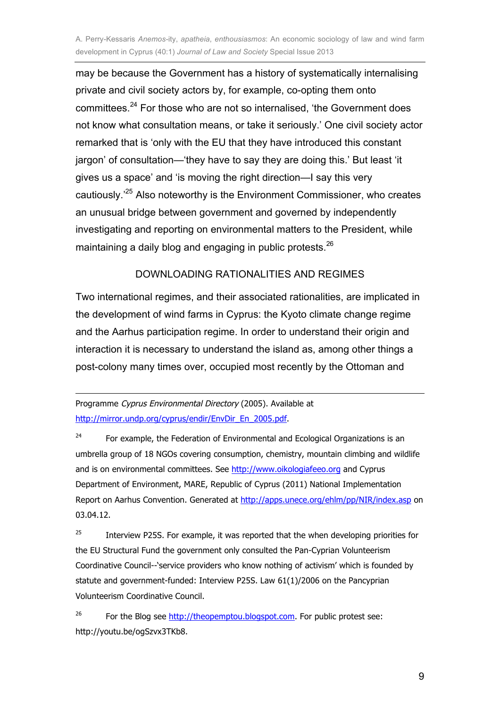may be because the Government has a history of systematically internalising private and civil society actors by, for example, co-opting them onto committees.<sup>24</sup> For those who are not so internalised, 'the Government does not know what consultation means, or take it seriously.' One civil society actor remarked that is 'only with the EU that they have introduced this constant jargon' of consultation—'they have to say they are doing this.' But least 'it gives us a space' and 'is moving the right direction—I say this very cautiously.'<sup>25</sup> Also noteworthy is the Environment Commissioner, who creates an unusual bridge between government and governed by independently investigating and reporting on environmental matters to the President, while maintaining a daily blog and engaging in public protests. $^{26}$ 

#### DOWNLOADING RATIONALITIES AND REGIMES

Two international regimes, and their associated rationalities, are implicated in the development of wind farms in Cyprus: the Kyoto climate change regime and the Aarhus participation regime. In order to understand their origin and interaction it is necessary to understand the island as, among other things a post-colony many times over, occupied most recently by the Ottoman and

Programme Cyprus Environmental Directory (2005). Available at http://mirror.undp.org/cyprus/endir/EnvDir\_En\_2005.pdf.

 $\overline{a}$ 

24 For example, the Federation of Environmental and Ecological Organizations is an umbrella group of 18 NGOs covering consumption, chemistry, mountain climbing and wildlife and is on environmental committees. See http://www.oikologiafeeo.org and Cyprus Department of Environment, MARE, Republic of Cyprus (2011) National Implementation Report on Aarhus Convention. Generated at http://apps.unece.org/ehlm/pp/NIR/index.asp on 03.04.12.

25 Interview P25S. For example, it was reported that the when developing priorities for the EU Structural Fund the government only consulted the Pan-Cyprian Volunteerism Coordinative Council--'service providers who know nothing of activism' which is founded by statute and government-funded: Interview P25S. Law 61(1)/2006 on the Pancyprian Volunteerism Coordinative Council.

26 For the Blog see http://theopemptou.blogspot.com. For public protest see: http://youtu.be/ogSzvx3TKb8.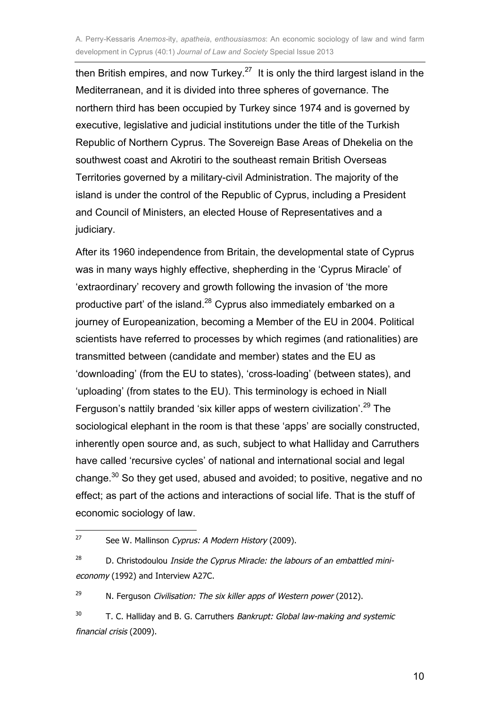then British empires, and now Turkey.<sup>27</sup> It is only the third largest island in the Mediterranean, and it is divided into three spheres of governance. The northern third has been occupied by Turkey since 1974 and is governed by executive, legislative and judicial institutions under the title of the Turkish Republic of Northern Cyprus. The Sovereign Base Areas of Dhekelia on the southwest coast and Akrotiri to the southeast remain British Overseas Territories governed by a military-civil Administration. The majority of the island is under the control of the Republic of Cyprus, including a President and Council of Ministers, an elected House of Representatives and a judiciary.

After its 1960 independence from Britain, the developmental state of Cyprus was in many ways highly effective, shepherding in the 'Cyprus Miracle' of 'extraordinary' recovery and growth following the invasion of 'the more productive part' of the island.<sup>28</sup> Cyprus also immediately embarked on a journey of Europeanization, becoming a Member of the EU in 2004. Political scientists have referred to processes by which regimes (and rationalities) are transmitted between (candidate and member) states and the EU as 'downloading' (from the EU to states), 'cross-loading' (between states), and 'uploading' (from states to the EU). This terminology is echoed in Niall Ferguson's nattily branded 'six killer apps of western civilization'.<sup>29</sup> The sociological elephant in the room is that these 'apps' are socially constructed, inherently open source and, as such, subject to what Halliday and Carruthers have called 'recursive cycles' of national and international social and legal change.<sup>30</sup> So they get used, abused and avoided; to positive, negative and no effect; as part of the actions and interactions of social life. That is the stuff of economic sociology of law.

29 N. Ferguson Civilisation: The six killer apps of Western power (2012).

 $\frac{1}{27}$ See W. Mallinson Cyprus: A Modern History (2009).

<sup>28</sup> D. Christodoulou Inside the Cyprus Miracle: the labours of an embattled minieconomy (1992) and Interview A27C.

<sup>30</sup> T. C. Halliday and B. G. Carruthers Bankrupt: Global law-making and systemic financial crisis (2009).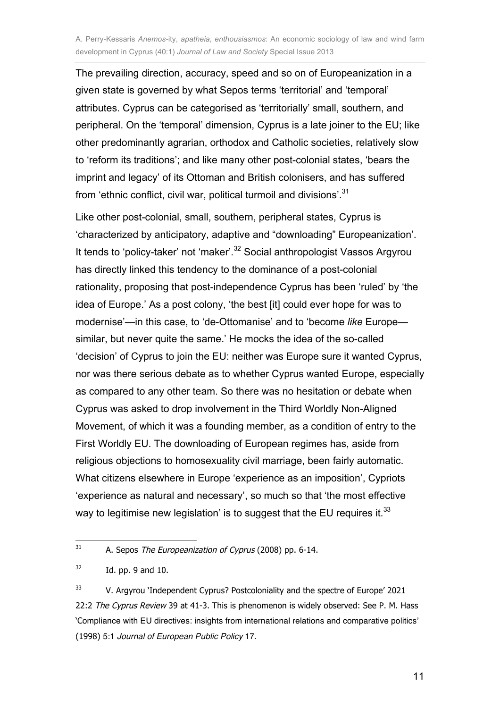The prevailing direction, accuracy, speed and so on of Europeanization in a given state is governed by what Sepos terms 'territorial' and 'temporal' attributes. Cyprus can be categorised as 'territorially' small, southern, and peripheral. On the 'temporal' dimension, Cyprus is a late joiner to the EU; like other predominantly agrarian, orthodox and Catholic societies, relatively slow to 'reform its traditions'; and like many other post-colonial states, 'bears the imprint and legacy' of its Ottoman and British colonisers, and has suffered from 'ethnic conflict, civil war, political turmoil and divisions'.<sup>31</sup>

Like other post-colonial, small, southern, peripheral states, Cyprus is 'characterized by anticipatory, adaptive and "downloading" Europeanization'. It tends to 'policy-taker' not 'maker'.<sup>32</sup> Social anthropologist Vassos Argyrou has directly linked this tendency to the dominance of a post-colonial rationality, proposing that post-independence Cyprus has been 'ruled' by 'the idea of Europe.' As a post colony, 'the best [it] could ever hope for was to modernise'—in this case, to 'de-Ottomanise' and to 'become *like* Europe similar, but never quite the same.' He mocks the idea of the so-called 'decision' of Cyprus to join the EU: neither was Europe sure it wanted Cyprus, nor was there serious debate as to whether Cyprus wanted Europe, especially as compared to any other team. So there was no hesitation or debate when Cyprus was asked to drop involvement in the Third Worldly Non-Aligned Movement, of which it was a founding member, as a condition of entry to the First Worldly EU. The downloading of European regimes has, aside from religious objections to homosexuality civil marriage, been fairly automatic. What citizens elsewhere in Europe 'experience as an imposition', Cypriots 'experience as natural and necessary', so much so that 'the most effective way to legitimise new legislation' is to suggest that the EU requires it.<sup>33</sup>

 $\frac{1}{31}$ A. Sepos The Europeanization of Cyprus (2008) pp. 6-14.

<sup>32</sup> Id. pp. 9 and 10.

<sup>33</sup> V. Argyrou 'Independent Cyprus? Postcoloniality and the spectre of Europe' 2021 22:2 The Cyprus Review 39 at 41-3. This is phenomenon is widely observed: See P. M. Hass 'Compliance with EU directives: insights from international relations and comparative politics' (1998) 5:1 Journal of European Public Policy 17.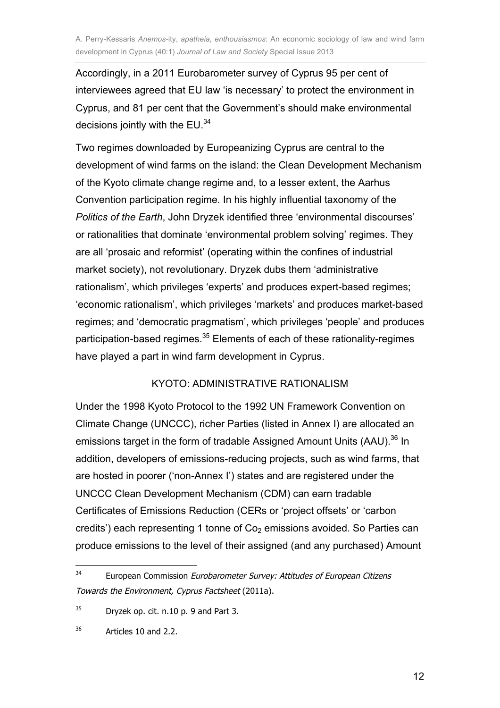Accordingly, in a 2011 Eurobarometer survey of Cyprus 95 per cent of interviewees agreed that EU law 'is necessary' to protect the environment in Cyprus, and 81 per cent that the Government's should make environmental decisions jointly with the EU.<sup>34</sup>

Two regimes downloaded by Europeanizing Cyprus are central to the development of wind farms on the island: the Clean Development Mechanism of the Kyoto climate change regime and, to a lesser extent, the Aarhus Convention participation regime. In his highly influential taxonomy of the *Politics of the Earth*, John Dryzek identified three 'environmental discourses' or rationalities that dominate 'environmental problem solving' regimes. They are all 'prosaic and reformist' (operating within the confines of industrial market society), not revolutionary. Dryzek dubs them 'administrative rationalism', which privileges 'experts' and produces expert-based regimes; 'economic rationalism', which privileges 'markets' and produces market-based regimes; and 'democratic pragmatism', which privileges 'people' and produces participation-based regimes.<sup>35</sup> Elements of each of these rationality-regimes have played a part in wind farm development in Cyprus.

#### KYOTO: ADMINISTRATIVE RATIONALISM

Under the 1998 Kyoto Protocol to the 1992 UN Framework Convention on Climate Change (UNCCC), richer Parties (listed in Annex I) are allocated an emissions target in the form of tradable Assigned Amount Units (AAU).<sup>36</sup> In addition, developers of emissions-reducing projects, such as wind farms, that are hosted in poorer ('non-Annex I') states and are registered under the UNCCC Clean Development Mechanism (CDM) can earn tradable Certificates of Emissions Reduction (CERs or 'project offsets' or 'carbon credits') each representing 1 tonne of  $Co<sub>2</sub>$  emissions avoided. So Parties can produce emissions to the level of their assigned (and any purchased) Amount

 $\frac{1}{34}$  European Commission Eurobarometer Survey: Attitudes of European Citizens Towards the Environment, Cyprus Factsheet (2011a).

<sup>35</sup> Dryzek op. cit. n.10 p. 9 and Part 3.

<sup>36</sup> Articles 10 and 2.2.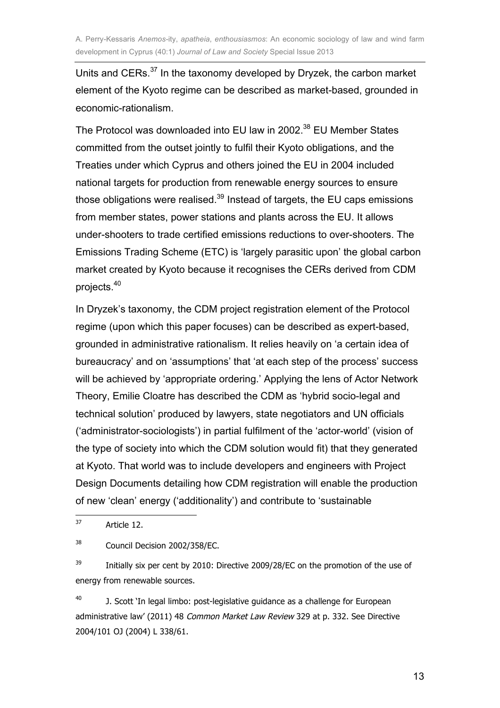Units and CERs.<sup>37</sup> In the taxonomy developed by Dryzek, the carbon market element of the Kyoto regime can be described as market-based, grounded in economic-rationalism.

The Protocol was downloaded into EU law in 2002.<sup>38</sup> EU Member States committed from the outset jointly to fulfil their Kyoto obligations, and the Treaties under which Cyprus and others joined the EU in 2004 included national targets for production from renewable energy sources to ensure those obligations were realised. $39$  Instead of targets, the EU caps emissions from member states, power stations and plants across the EU. It allows under-shooters to trade certified emissions reductions to over-shooters. The Emissions Trading Scheme (ETC) is 'largely parasitic upon' the global carbon market created by Kyoto because it recognises the CERs derived from CDM projects. 40

In Dryzek's taxonomy, the CDM project registration element of the Protocol regime (upon which this paper focuses) can be described as expert-based, grounded in administrative rationalism. It relies heavily on 'a certain idea of bureaucracy' and on 'assumptions' that 'at each step of the process' success will be achieved by 'appropriate ordering.' Applying the lens of Actor Network Theory, Emilie Cloatre has described the CDM as 'hybrid socio-legal and technical solution' produced by lawyers, state negotiators and UN officials ('administrator-sociologists') in partial fulfilment of the 'actor-world' (vision of the type of society into which the CDM solution would fit) that they generated at Kyoto. That world was to include developers and engineers with Project Design Documents detailing how CDM registration will enable the production of new 'clean' energy ('additionality') and contribute to 'sustainable

39 Initially six per cent by 2010: Directive 2009/28/EC on the promotion of the use of energy from renewable sources.

40 J. Scott 'In legal limbo: post-legislative guidance as a challenge for European administrative law' (2011) 48 Common Market Law Review 329 at p. 332. See Directive 2004/101 OJ (2004) L 338/61.

13

<sup>—&</sup>lt;br>37 Article 12.

<sup>38</sup> Council Decision 2002/358/EC.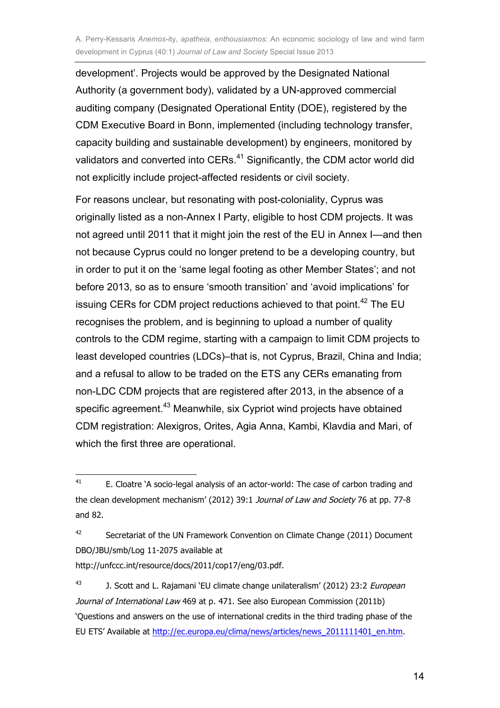development'. Projects would be approved by the Designated National Authority (a government body), validated by a UN-approved commercial auditing company (Designated Operational Entity (DOE), registered by the CDM Executive Board in Bonn, implemented (including technology transfer, capacity building and sustainable development) by engineers, monitored by validators and converted into CERs.<sup>41</sup> Significantly, the CDM actor world did not explicitly include project-affected residents or civil society.

For reasons unclear, but resonating with post-coloniality, Cyprus was originally listed as a non-Annex I Party, eligible to host CDM projects. It was not agreed until 2011 that it might join the rest of the EU in Annex I—and then not because Cyprus could no longer pretend to be a developing country, but in order to put it on the 'same legal footing as other Member States'; and not before 2013, so as to ensure 'smooth transition' and 'avoid implications' for issuing CERs for CDM project reductions achieved to that point.<sup>42</sup> The EU recognises the problem, and is beginning to upload a number of quality controls to the CDM regime, starting with a campaign to limit CDM projects to least developed countries (LDCs)–that is, not Cyprus, Brazil, China and India; and a refusal to allow to be traded on the ETS any CERs emanating from non-LDC CDM projects that are registered after 2013, in the absence of a specific agreement.<sup>43</sup> Meanwhile, six Cypriot wind projects have obtained CDM registration: Alexigros, Orites, Agia Anna, Kambi, Klavdia and Mari, of which the first three are operational.

 $\frac{1}{41}$  E. Cloatre 'A socio-legal analysis of an actor-world: The case of carbon trading and the clean development mechanism' (2012) 39:1 Journal of Law and Society 76 at pp. 77-8 and 82.

<sup>42</sup> Secretariat of the UN Framework Convention on Climate Change (2011) Document DBO/JBU/smb/Log 11-2075 available at http://unfccc.int/resource/docs/2011/cop17/eng/03.pdf.

<sup>43</sup> J. Scott and L. Rajamani 'EU climate change unilateralism' (2012) 23:2 European Journal of International Law 469 at p. 471. See also European Commission (2011b) 'Questions and answers on the use of international credits in the third trading phase of the EU ETS' Available at http://ec.europa.eu/clima/news/articles/news\_2011111401\_en.htm.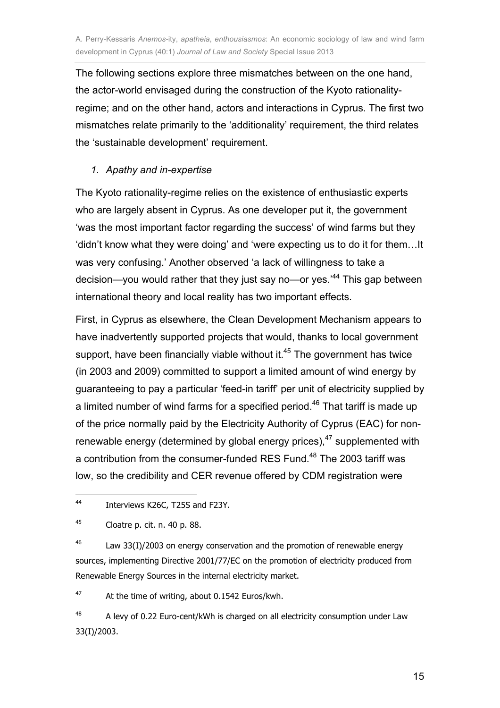The following sections explore three mismatches between on the one hand, the actor-world envisaged during the construction of the Kyoto rationalityregime; and on the other hand, actors and interactions in Cyprus. The first two mismatches relate primarily to the 'additionality' requirement, the third relates the 'sustainable development' requirement.

#### *1. Apathy and in-expertise*

The Kyoto rationality-regime relies on the existence of enthusiastic experts who are largely absent in Cyprus. As one developer put it, the government 'was the most important factor regarding the success' of wind farms but they 'didn't know what they were doing' and 'were expecting us to do it for them…It was very confusing.' Another observed 'a lack of willingness to take a decision—you would rather that they just say no—or yes.'<sup>44</sup> This gap between international theory and local reality has two important effects.

First, in Cyprus as elsewhere, the Clean Development Mechanism appears to have inadvertently supported projects that would, thanks to local government support, have been financially viable without it. $45$  The government has twice (in 2003 and 2009) committed to support a limited amount of wind energy by guaranteeing to pay a particular 'feed-in tariff' per unit of electricity supplied by a limited number of wind farms for a specified period.<sup>46</sup> That tariff is made up of the price normally paid by the Electricity Authority of Cyprus (EAC) for nonrenewable energy (determined by global energy prices), $47$  supplemented with a contribution from the consumer-funded RES Fund.<sup>48</sup> The 2003 tariff was low, so the credibility and CER revenue offered by CDM registration were

46 Law 33(I)/2003 on energy conservation and the promotion of renewable energy sources, implementing Directive 2001/77/EC on the promotion of electricity produced from Renewable Energy Sources in the internal electricity market.

47 At the time of writing, about 0.1542 Euros/kwh.

48 A levy of 0.22 Euro-cent/kWh is charged on all electricity consumption under Law 33(I)/2003.

 $\frac{1}{44}$ Interviews K26C, T25S and F23Y.

<sup>45</sup> Cloatre p. cit. n. 40 p. 88.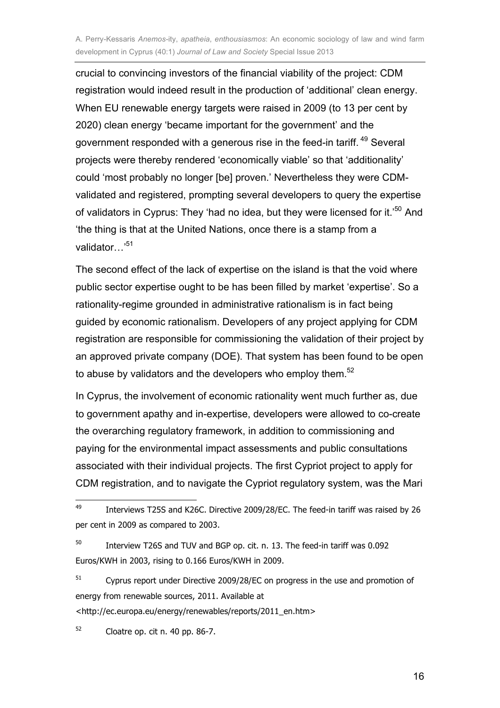crucial to convincing investors of the financial viability of the project: CDM registration would indeed result in the production of 'additional' clean energy. When EU renewable energy targets were raised in 2009 (to 13 per cent by 2020) clean energy 'became important for the government' and the government responded with a generous rise in the feed-in tariff. <sup>49</sup> Several projects were thereby rendered 'economically viable' so that 'additionality' could 'most probably no longer [be] proven.' Nevertheless they were CDMvalidated and registered, prompting several developers to query the expertise of validators in Cyprus: They 'had no idea, but they were licensed for it.<sup>'50</sup> And 'the thing is that at the United Nations, once there is a stamp from a validator…<sup>51</sup>

The second effect of the lack of expertise on the island is that the void where public sector expertise ought to be has been filled by market 'expertise'. So a rationality-regime grounded in administrative rationalism is in fact being guided by economic rationalism. Developers of any project applying for CDM registration are responsible for commissioning the validation of their project by an approved private company (DOE). That system has been found to be open to abuse by validators and the developers who employ them.<sup>52</sup>

In Cyprus, the involvement of economic rationality went much further as, due to government apathy and in-expertise, developers were allowed to co-create the overarching regulatory framework, in addition to commissioning and paying for the environmental impact assessments and public consultations associated with their individual projects. The first Cypriot project to apply for CDM registration, and to navigate the Cypriot regulatory system, was the Mari

<http://ec.europa.eu/energy/renewables/reports/2011\_en.htm>

52 Cloatre op. cit n. 40 pp. 86-7.

 $\overline{a}$ 

16

<sup>49</sup> Interviews T25S and K26C. Directive 2009/28/EC. The feed-in tariff was raised by 26 per cent in 2009 as compared to 2003.

<sup>50</sup> Interview T26S and TUV and BGP op. cit. n. 13. The feed-in tariff was 0.092 Euros/KWH in 2003, rising to 0.166 Euros/KWH in 2009.

<sup>51</sup> Cyprus report under Directive 2009/28/EC on progress in the use and promotion of energy from renewable sources, 2011. Available at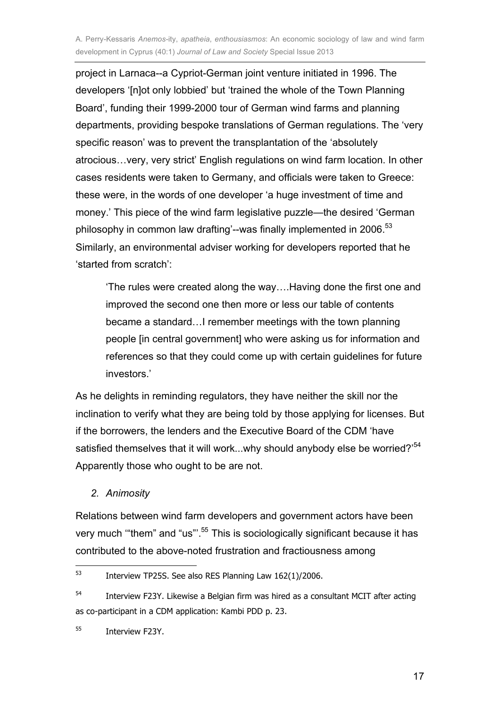project in Larnaca--a Cypriot-German joint venture initiated in 1996. The developers '[n]ot only lobbied' but 'trained the whole of the Town Planning Board', funding their 1999-2000 tour of German wind farms and planning departments, providing bespoke translations of German regulations. The 'very specific reason' was to prevent the transplantation of the 'absolutely atrocious…very, very strict' English regulations on wind farm location. In other cases residents were taken to Germany, and officials were taken to Greece: these were, in the words of one developer 'a huge investment of time and money.' This piece of the wind farm legislative puzzle—the desired 'German philosophy in common law drafting'--was finally implemented in 2006.<sup>53</sup> Similarly, an environmental adviser working for developers reported that he 'started from scratch':

'The rules were created along the way….Having done the first one and improved the second one then more or less our table of contents became a standard…I remember meetings with the town planning people [in central government] who were asking us for information and references so that they could come up with certain guidelines for future investors.'

As he delights in reminding regulators, they have neither the skill nor the inclination to verify what they are being told by those applying for licenses. But if the borrowers, the lenders and the Executive Board of the CDM 'have satisfied themselves that it will work...why should anybody else be worried?<sup>54</sup> Apparently those who ought to be are not.

*2. Animosity*

Relations between wind farm developers and government actors have been very much "them" and "us"'.<sup>55</sup> This is sociologically significant because it has contributed to the above-noted frustration and fractiousness among

 $\frac{1}{53}$ Interview TP25S. See also RES Planning Law 162(1)/2006.

<sup>54</sup> Interview F23Y. Likewise a Belgian firm was hired as a consultant MCIT after acting as co-participant in a CDM application: Kambi PDD p. 23.

<sup>55</sup> Interview F23Y.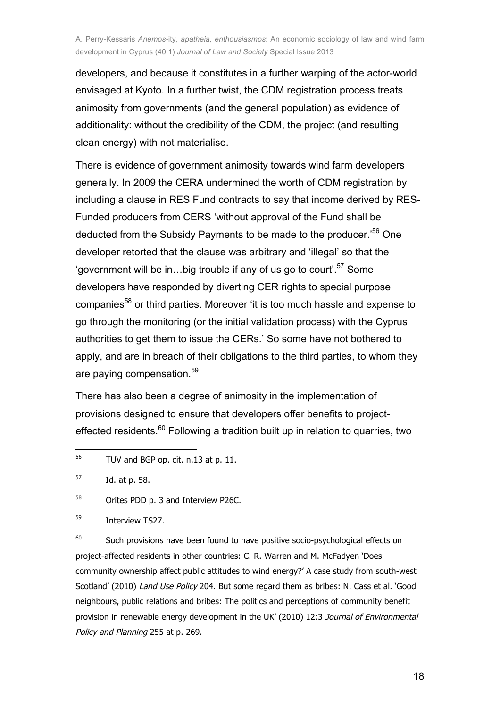developers, and because it constitutes in a further warping of the actor-world envisaged at Kyoto. In a further twist, the CDM registration process treats animosity from governments (and the general population) as evidence of additionality: without the credibility of the CDM, the project (and resulting clean energy) with not materialise.

There is evidence of government animosity towards wind farm developers generally. In 2009 the CERA undermined the worth of CDM registration by including a clause in RES Fund contracts to say that income derived by RES-Funded producers from CERS 'without approval of the Fund shall be deducted from the Subsidy Payments to be made to the producer.'<sup>56</sup> One developer retorted that the clause was arbitrary and 'illegal' so that the 'government will be in...big trouble if any of us go to court'.<sup>57</sup> Some developers have responded by diverting CER rights to special purpose companies<sup>58</sup> or third parties. Moreover 'it is too much hassle and expense to go through the monitoring (or the initial validation process) with the Cyprus authorities to get them to issue the CERs.' So some have not bothered to apply, and are in breach of their obligations to the third parties, to whom they are paying compensation.<sup>59</sup>

There has also been a degree of animosity in the implementation of provisions designed to ensure that developers offer benefits to projecteffected residents. $60$  Following a tradition built up in relation to quarries, two

58 Orites PDD p. 3 and Interview P26C.

60 Such provisions have been found to have positive socio-psychological effects on project-affected residents in other countries: C. R. Warren and M. McFadyen 'Does community ownership affect public attitudes to wind energy?' A case study from south-west Scotland' (2010) Land Use Policy 204. But some regard them as bribes: N. Cass et al. 'Good neighbours, public relations and bribes: The politics and perceptions of community benefit provision in renewable energy development in the UK' (2010) 12:3 Journal of Environmental Policy and Planning 255 at p. 269.

<sup>—&</sup>lt;br>56 TUV and BGP op. cit. n.13 at p. 11.

<sup>57</sup> Id. at p. 58.

<sup>59</sup> Interview TS27.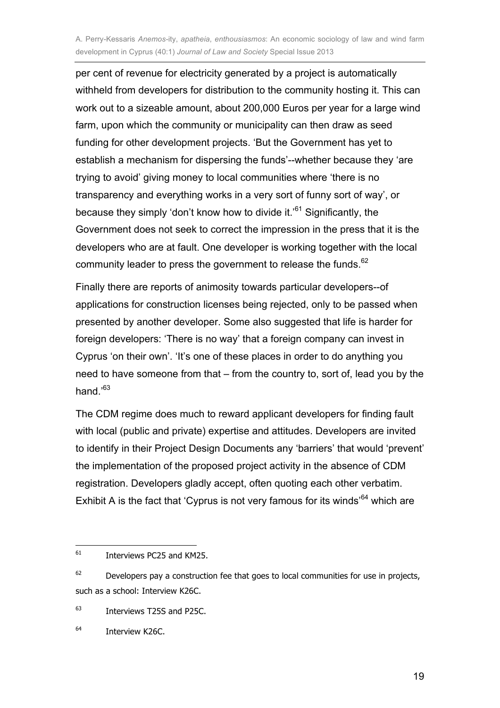per cent of revenue for electricity generated by a project is automatically withheld from developers for distribution to the community hosting it. This can work out to a sizeable amount, about 200,000 Euros per year for a large wind farm, upon which the community or municipality can then draw as seed funding for other development projects. 'But the Government has yet to establish a mechanism for dispersing the funds'--whether because they 'are trying to avoid' giving money to local communities where 'there is no transparency and everything works in a very sort of funny sort of way', or because they simply 'don't know how to divide it.'<sup>61</sup> Significantly, the Government does not seek to correct the impression in the press that it is the developers who are at fault. One developer is working together with the local community leader to press the government to release the funds.<sup>62</sup>

Finally there are reports of animosity towards particular developers--of applications for construction licenses being rejected, only to be passed when presented by another developer. Some also suggested that life is harder for foreign developers: 'There is no way' that a foreign company can invest in Cyprus 'on their own'. 'It's one of these places in order to do anything you need to have someone from that – from the country to, sort of, lead you by the hand.'<sup>63</sup>

The CDM regime does much to reward applicant developers for finding fault with local (public and private) expertise and attitudes. Developers are invited to identify in their Project Design Documents any 'barriers' that would 'prevent' the implementation of the proposed project activity in the absence of CDM registration. Developers gladly accept, often quoting each other verbatim. Exhibit A is the fact that 'Cyprus is not very famous for its winds<sup> $64$ </sup> which are

 $\frac{1}{61}$ Interviews PC25 and KM25.

 $62$  Developers pay a construction fee that goes to local communities for use in projects, such as a school: Interview K26C.

<sup>63</sup> Interviews T25S and P25C.

<sup>64</sup> Interview K26C.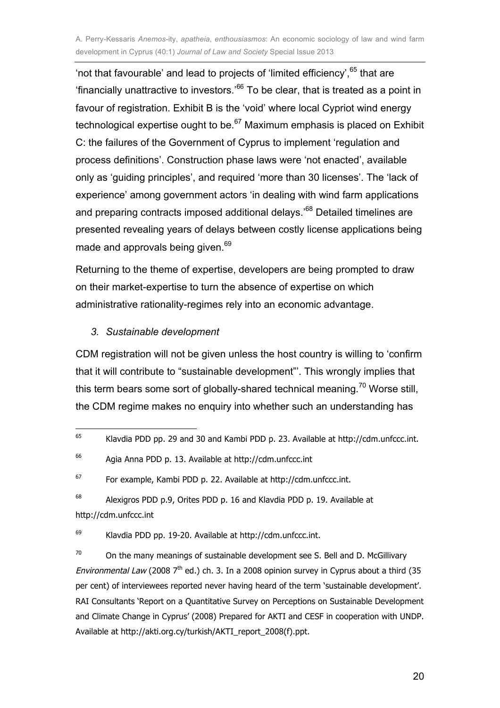'not that favourable' and lead to projects of 'limited efficiency', $65$  that are 'financially unattractive to investors.<sup>66</sup> To be clear, that is treated as a point in favour of registration. Exhibit B is the 'void' where local Cypriot wind energy technological expertise ought to be.<sup>67</sup> Maximum emphasis is placed on Exhibit C: the failures of the Government of Cyprus to implement 'regulation and process definitions'. Construction phase laws were 'not enacted', available only as 'guiding principles', and required 'more than 30 licenses'. The 'lack of experience' among government actors 'in dealing with wind farm applications and preparing contracts imposed additional delays.<sup>'68</sup> Detailed timelines are presented revealing years of delays between costly license applications being made and approvals being given.<sup>69</sup>

Returning to the theme of expertise, developers are being prompted to draw on their market-expertise to turn the absence of expertise on which administrative rationality-regimes rely into an economic advantage.

#### *3. Sustainable development*

CDM registration will not be given unless the host country is willing to 'confirm that it will contribute to "sustainable development"'. This wrongly implies that this term bears some sort of globally-shared technical meaning.<sup>70</sup> Worse still, the CDM regime makes no enquiry into whether such an understanding has

68 Alexigros PDD p.9, Orites PDD p. 16 and Klavdia PDD p. 19. Available at http://cdm.unfccc.int

69 Klavdia PDD pp. 19-20. Available at http://cdm.unfccc.int.

70 On the many meanings of sustainable development see S. Bell and D. McGillivary Environmental Law (2008  $7<sup>th</sup>$  ed.) ch. 3. In a 2008 opinion survey in Cyprus about a third (35 per cent) of interviewees reported never having heard of the term 'sustainable development'. RAI Consultants 'Report on a Quantitative Survey on Perceptions on Sustainable Development and Climate Change in Cyprus' (2008) Prepared for AKTI and CESF in cooperation with UNDP. Available at http://akti.org.cy/turkish/AKTI\_report\_2008(f).ppt.

<sup>—&</sup>lt;br>65 Klavdia PDD pp. 29 and 30 and Kambi PDD p. 23. Available at http://cdm.unfccc.int.

<sup>66</sup> Agia Anna PDD p. 13. Available at http://cdm.unfccc.int

<sup>67</sup> For example, Kambi PDD p. 22. Available at http://cdm.unfccc.int.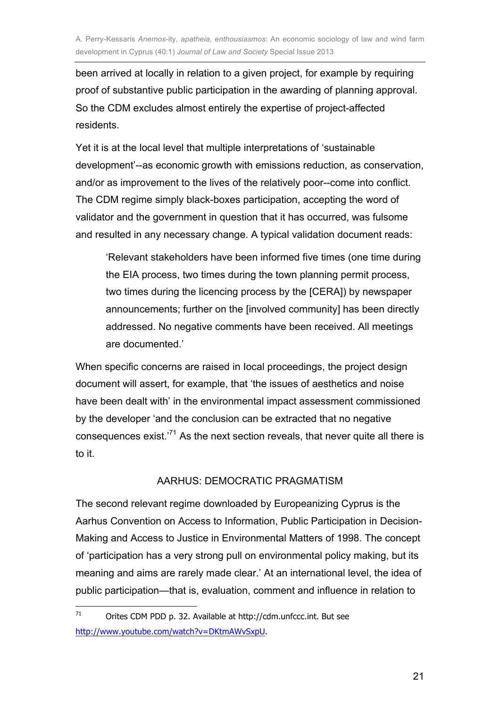been arrived at locally in relation to a given project, for example by requiring proof of substantive public participation in the awarding of planning approval. So the CDM excludes almost entirely the expertise of project-affected residents.

Yet it is at the local level that multiple interpretations of 'sustainable development'--as economic growth with emissions reduction, as conservation, and/or as improvement to the lives of the relatively poor--come into conflict. The CDM regime simply black-boxes participation, accepting the word of validator and the government in question that it has occurred, was fulsome and resulted in any necessary change. A typical validation document reads:

'Relevant stakeholders have been informed five times (one time during the EIA process, two times during the town planning permit process, two times during the licencing process by the [CERA]) by newspaper announcements; further on the [involved community] has been directly addressed. No negative comments have been received. All meetings are documented.'

When specific concerns are raised in Iocal proceedings, the project design document will assert, for example, that 'the issues of aesthetics and noise have been dealt with' in the environmental impact assessment commissioned by the developer 'and the conclusion can be extracted that no negative consequences exist.'<sup>71</sup> As the next section reveals, that never quite all there is to it.

#### AARHUS: DEMOCRATIC PRAGMATISM

The second relevant regime downloaded by Europeanizing Cyprus is the Aarhus Convention on Access to Information, Public Participation in Decision-Making and Access to Justice in Environmental Matters of 1998. The concept of 'participation has a very strong pull on environmental policy making, but its meaning and aims are rarely made clear.' At an international level, the idea of public participation—that is, evaluation, comment and influence in relation to

 $\frac{1}{71}$  Orites CDM PDD p. 32. Available at http://cdm.unfccc.int. But see http://www.youtube.com/watch?v=DKtmAWvSxpU.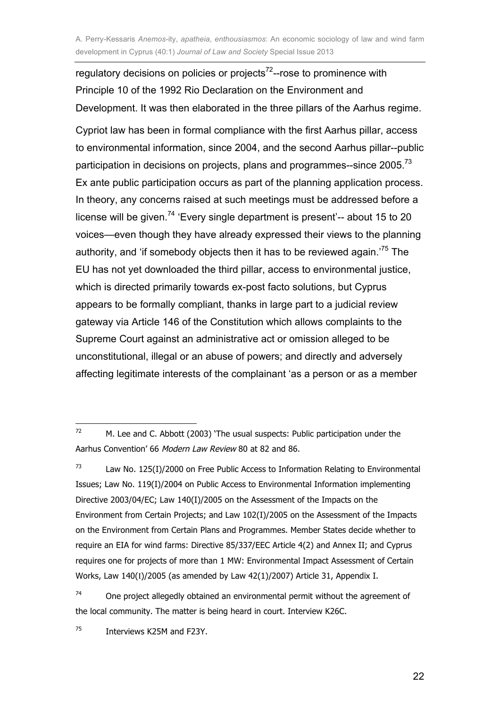regulatory decisions on policies or projects<sup>72</sup>--rose to prominence with Principle 10 of the 1992 Rio Declaration on the Environment and Development. It was then elaborated in the three pillars of the Aarhus regime.

Cypriot law has been in formal compliance with the first Aarhus pillar, access to environmental information, since 2004, and the second Aarhus pillar--public participation in decisions on projects, plans and programmes--since 2005.<sup>73</sup> Ex ante public participation occurs as part of the planning application process. In theory, any concerns raised at such meetings must be addressed before a license will be given.<sup>74</sup> 'Every single department is present'-- about 15 to 20 voices—even though they have already expressed their views to the planning authority, and 'if somebody objects then it has to be reviewed again.<sup>75</sup> The EU has not yet downloaded the third pillar, access to environmental justice, which is directed primarily towards ex-post facto solutions, but Cyprus appears to be formally compliant, thanks in large part to a judicial review gateway via Article 146 of the Constitution which allows complaints to the Supreme Court against an administrative act or omission alleged to be unconstitutional, illegal or an abuse of powers; and directly and adversely affecting legitimate interests of the complainant 'as a person or as a member

73 Law No. 125(I)/2000 on Free Public Access to Information Relating to Environmental Issues; Law No. 119(I)/2004 on Public Access to Environmental Information implementing Directive 2003/04/EC; Law 140(I)/2005 on the Assessment of the Impacts on the Environment from Certain Projects; and Law 102(I)/2005 on the Assessment of the Impacts on the Environment from Certain Plans and Programmes. Member States decide whether to require an EIA for wind farms: Directive 85/337/EEC Article 4(2) and Annex II; and Cyprus requires one for projects of more than 1 MW: Environmental Impact Assessment of Certain Works, Law 140(I)/2005 (as amended by Law 42(1)/2007) Article 31, Appendix I.

74 One project allegedly obtained an environmental permit without the agreement of the local community. The matter is being heard in court. Interview K26C.

 $\frac{1}{72}$  M. Lee and C. Abbott (2003) 'The usual suspects: Public participation under the Aarhus Convention' 66 Modern Law Review 80 at 82 and 86.

<sup>75</sup> Interviews K25M and F23Y.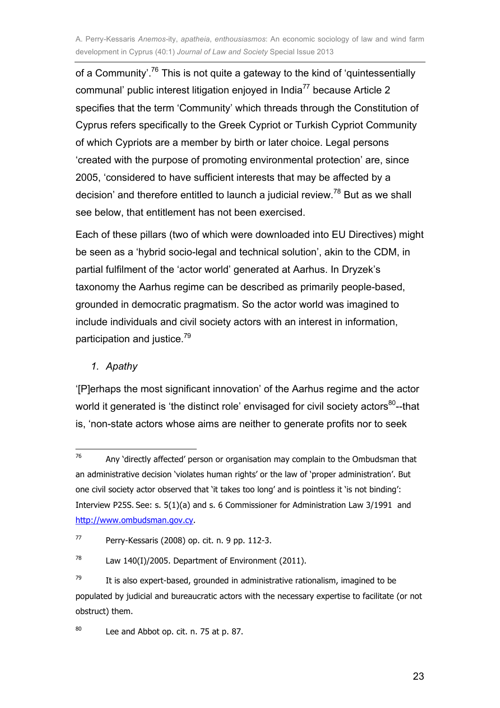of a Community'.<sup>76</sup> This is not quite a gateway to the kind of 'quintessentially communal' public interest litigation enjoyed in India<sup>77</sup> because Article 2 specifies that the term 'Community' which threads through the Constitution of Cyprus refers specifically to the Greek Cypriot or Turkish Cypriot Community of which Cypriots are a member by birth or later choice. Legal persons 'created with the purpose of promoting environmental protection' are, since 2005, 'considered to have sufficient interests that may be affected by a decision' and therefore entitled to launch a judicial review.<sup>78</sup> But as we shall see below, that entitlement has not been exercised.

Each of these pillars (two of which were downloaded into EU Directives) might be seen as a 'hybrid socio-legal and technical solution', akin to the CDM, in partial fulfilment of the 'actor world' generated at Aarhus. In Dryzek's taxonomy the Aarhus regime can be described as primarily people-based, grounded in democratic pragmatism. So the actor world was imagined to include individuals and civil society actors with an interest in information, participation and justice.<sup>79</sup>

#### *1. Apathy*

'[P]erhaps the most significant innovation' of the Aarhus regime and the actor world it generated is 'the distinct role' envisaged for civil society actors<sup>80</sup>--that is, 'non-state actors whose aims are neither to generate profits nor to seek

80 Lee and Abbot op. cit. n. 75 at p. 87.

 $\frac{1}{76}$  Any 'directly affected' person or organisation may complain to the Ombudsman that an administrative decision 'violates human rights' or the law of 'proper administration'. But one civil society actor observed that 'it takes too long' and is pointless it 'is not binding': Interview P25S. See: s. 5(1)(a) and s. 6 Commissioner for Administration Law 3/1991 and http://www.ombudsman.gov.cy.

<sup>77</sup> Perry-Kessaris (2008) op. cit. n. 9 pp. 112-3.

<sup>78</sup> Law 140(I)/2005. Department of Environment (2011).

<sup>79</sup> It is also expert-based, grounded in administrative rationalism, imagined to be populated by judicial and bureaucratic actors with the necessary expertise to facilitate (or not obstruct) them.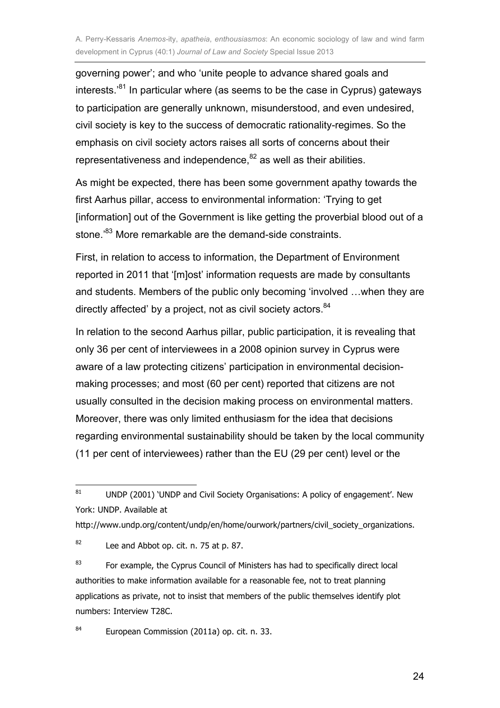governing power'; and who 'unite people to advance shared goals and interests. $381$  In particular where (as seems to be the case in Cyprus) gateways to participation are generally unknown, misunderstood, and even undesired, civil society is key to the success of democratic rationality-regimes. So the emphasis on civil society actors raises all sorts of concerns about their representativeness and independence, $82$  as well as their abilities.

As might be expected, there has been some government apathy towards the first Aarhus pillar, access to environmental information: 'Trying to get [information] out of the Government is like getting the proverbial blood out of a stone.<sup>83</sup> More remarkable are the demand-side constraints.

First, in relation to access to information, the Department of Environment reported in 2011 that '[m]ost' information requests are made by consultants and students. Members of the public only becoming 'involved …when they are directly affected' by a project, not as civil society actors. <sup>84</sup>

In relation to the second Aarhus pillar, public participation, it is revealing that only 36 per cent of interviewees in a 2008 opinion survey in Cyprus were aware of a law protecting citizens' participation in environmental decisionmaking processes; and most (60 per cent) reported that citizens are not usually consulted in the decision making process on environmental matters. Moreover, there was only limited enthusiasm for the idea that decisions regarding environmental sustainability should be taken by the local community (11 per cent of interviewees) rather than the EU (29 per cent) level or the

http://www.undp.org/content/undp/en/home/ourwork/partners/civil\_society\_organizations.

82 Lee and Abbot op. cit. n. 75 at p. 87.

83 For example, the Cyprus Council of Ministers has had to specifically direct local authorities to make information available for a reasonable fee, not to treat planning applications as private, not to insist that members of the public themselves identify plot numbers: Interview T28C.

84 European Commission (2011a) op. cit. n. 33.

<sup>—&</sup>lt;br>81 UNDP (2001) 'UNDP and Civil Society Organisations: A policy of engagement'. New York: UNDP. Available at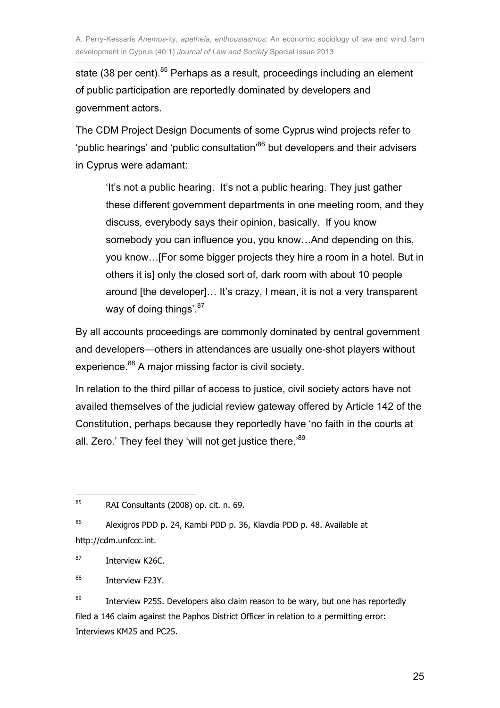state (38 per cent).<sup>85</sup> Perhaps as a result, proceedings including an element of public participation are reportedly dominated by developers and government actors.

The CDM Project Design Documents of some Cyprus wind projects refer to 'public hearings' and 'public consultation'<sup>86</sup> but developers and their advisers in Cyprus were adamant:

'It's not a public hearing. It's not a public hearing. They just gather these different government departments in one meeting room, and they discuss, everybody says their opinion, basically. If you know somebody you can influence you, you know…And depending on this, you know…[For some bigger projects they hire a room in a hotel. But in others it is] only the closed sort of, dark room with about 10 people around [the developer]... It's crazy, I mean, it is not a very transparent way of doing things'. 87

By all accounts proceedings are commonly dominated by central government and developers—others in attendances are usually one-shot players without experience.<sup>88</sup> A major missing factor is civil society.

In relation to the third pillar of access to justice, civil society actors have not availed themselves of the judicial review gateway offered by Article 142 of the Constitution, perhaps because they reportedly have 'no faith in the courts at all. Zero.' They feel they 'will not get justice there.'89

87 Interview K26C.

88 Interview F23Y.

89 Interview P25S. Developers also claim reason to be wary, but one has reportedly filed a 146 claim against the Paphos District Officer in relation to a permitting error: Interviews KM25 and PC25.

<sup>—&</sup>lt;br>85 RAI Consultants (2008) op. cit. n. 69.

<sup>86</sup> Alexigros PDD p. 24, Kambi PDD p. 36, Klavdia PDD p. 48. Available at http://cdm.unfccc.int.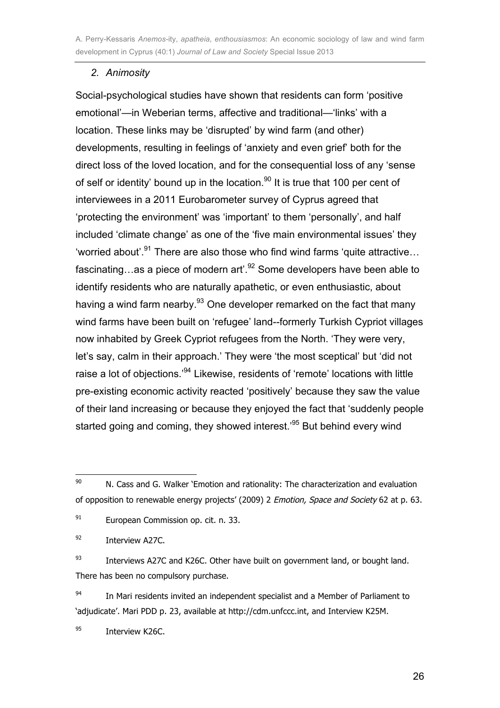#### *2. Animosity*

Social-psychological studies have shown that residents can form 'positive emotional'—in Weberian terms, affective and traditional—'links' with a location. These links may be 'disrupted' by wind farm (and other) developments, resulting in feelings of 'anxiety and even grief' both for the direct loss of the loved location, and for the consequential loss of any 'sense of self or identity' bound up in the location.<sup>90</sup> It is true that 100 per cent of interviewees in a 2011 Eurobarometer survey of Cyprus agreed that 'protecting the environment' was 'important' to them 'personally', and half included 'climate change' as one of the 'five main environmental issues' they 'worried about'.<sup>91</sup> There are also those who find wind farms 'quite attractive... fascinating...as a piece of modern art'.<sup>92</sup> Some developers have been able to identify residents who are naturally apathetic, or even enthusiastic, about having a wind farm nearby.<sup>93</sup> One developer remarked on the fact that many wind farms have been built on 'refugee' land--formerly Turkish Cypriot villages now inhabited by Greek Cypriot refugees from the North. 'They were very, let's say, calm in their approach.' They were 'the most sceptical' but 'did not raise a lot of objections.<sup>94</sup> Likewise, residents of 'remote' locations with little pre-existing economic activity reacted 'positively' because they saw the value of their land increasing or because they enjoyed the fact that 'suddenly people started going and coming, they showed interest.<sup>95</sup> But behind every wind

92 Interview A27C.

93 Interviews A27C and K26C. Other have built on government land, or bought land. There has been no compulsory purchase.

94 In Mari residents invited an independent specialist and a Member of Parliament to 'adjudicate'. Mari PDD p. 23, available at http://cdm.unfccc.int, and Interview K25M.

95 Interview K26C.

<sup>—&</sup>lt;br>90 N. Cass and G. Walker 'Emotion and rationality: The characterization and evaluation of opposition to renewable energy projects' (2009) 2 *Emotion, Space and Society* 62 at p. 63.

<sup>91</sup> European Commission op. cit. n. 33.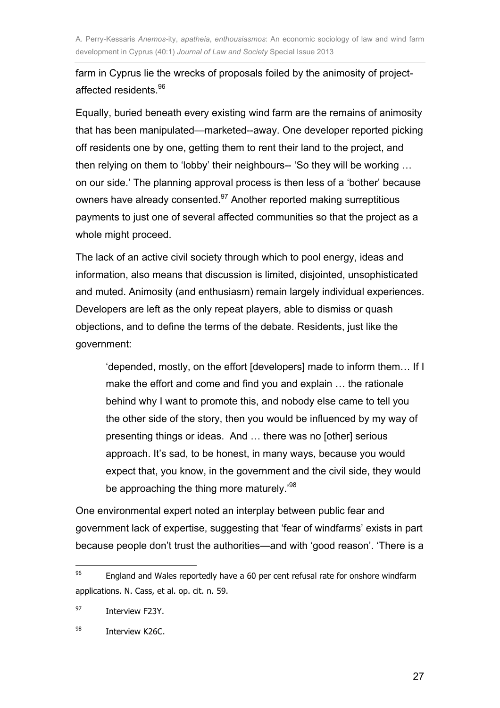farm in Cyprus lie the wrecks of proposals foiled by the animosity of projectaffected residents.<sup>96</sup>

Equally, buried beneath every existing wind farm are the remains of animosity that has been manipulated—marketed--away. One developer reported picking off residents one by one, getting them to rent their land to the project, and then relying on them to 'lobby' their neighbours-- 'So they will be working ... on our side.' The planning approval process is then less of a 'bother' because owners have already consented.<sup>97</sup> Another reported making surreptitious payments to just one of several affected communities so that the project as a whole might proceed.

The lack of an active civil society through which to pool energy, ideas and information, also means that discussion is limited, disjointed, unsophisticated and muted. Animosity (and enthusiasm) remain largely individual experiences. Developers are left as the only repeat players, able to dismiss or quash objections, and to define the terms of the debate. Residents, just like the government:

'depended, mostly, on the effort [developers] made to inform them… If I make the effort and come and find you and explain … the rationale behind why I want to promote this, and nobody else came to tell you the other side of the story, then you would be influenced by my way of presenting things or ideas. And … there was no [other] serious approach. It's sad, to be honest, in many ways, because you would expect that, you know, in the government and the civil side, they would be approaching the thing more maturely.'<sup>98</sup>

One environmental expert noted an interplay between public fear and government lack of expertise, suggesting that 'fear of windfarms' exists in part because people don't trust the authorities—and with 'good reason'. 'There is a

<sup>—&</sup>lt;br>96 England and Wales reportedly have a 60 per cent refusal rate for onshore windfarm applications. N. Cass, et al. op. cit. n. 59.

<sup>97</sup> Interview F23Y.

<sup>98</sup> Interview K26C.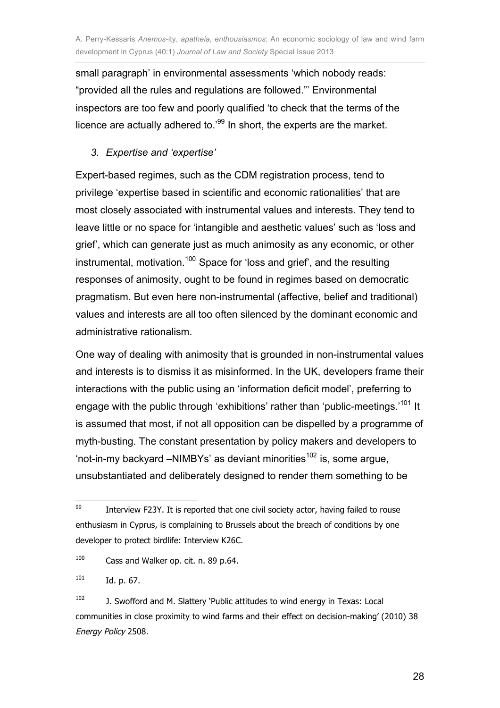small paragraph' in environmental assessments 'which nobody reads: "provided all the rules and regulations are followed."' Environmental inspectors are too few and poorly qualified 'to check that the terms of the licence are actually adhered to.'99 In short, the experts are the market.

#### *3. Expertise and 'expertise'*

Expert-based regimes, such as the CDM registration process, tend to privilege 'expertise based in scientific and economic rationalities' that are most closely associated with instrumental values and interests. They tend to leave little or no space for 'intangible and aesthetic values' such as 'loss and grief', which can generate just as much animosity as any economic, or other instrumental, motivation.<sup>100</sup> Space for 'loss and grief', and the resulting responses of animosity, ought to be found in regimes based on democratic pragmatism. But even here non-instrumental (affective, belief and traditional) values and interests are all too often silenced by the dominant economic and administrative rationalism.

One way of dealing with animosity that is grounded in non-instrumental values and interests is to dismiss it as misinformed. In the UK, developers frame their interactions with the public using an 'information deficit model', preferring to engage with the public through 'exhibitions' rather than 'public-meetings.<sup>'101</sup> It is assumed that most, if not all opposition can be dispelled by a programme of myth-busting. The constant presentation by policy makers and developers to 'not-in-my backyard –NIMBYs' as deviant minorities<sup>102</sup> is, some argue, unsubstantiated and deliberately designed to render them something to be

100 Cass and Walker op. cit. n. 89 p.64.

<sup>—&</sup>lt;br>99 Interview F23Y. It is reported that one civil society actor, having failed to rouse enthusiasm in Cyprus, is complaining to Brussels about the breach of conditions by one developer to protect birdlife: Interview K26C.

<sup>101</sup> Id. p. 67.

<sup>102</sup> J. Swofford and M. Slattery 'Public attitudes to wind energy in Texas: Local communities in close proximity to wind farms and their effect on decision-making' (2010) 38 Energy Policy 2508.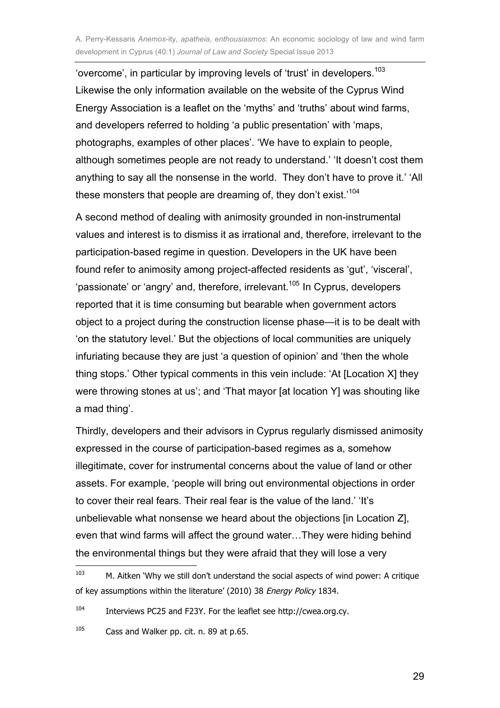'overcome', in particular by improving levels of 'trust' in developers.<sup>103</sup> Likewise the only information available on the website of the Cyprus Wind Energy Association is a leaflet on the 'myths' and 'truths' about wind farms, and developers referred to holding 'a public presentation' with 'maps, photographs, examples of other places'. 'We have to explain to people, although sometimes people are not ready to understand.' 'It doesn't cost them anything to say all the nonsense in the world. They don't have to prove it.' 'All these monsters that people are dreaming of, they don't exist.'<sup>104</sup>

A second method of dealing with animosity grounded in non-instrumental values and interest is to dismiss it as irrational and, therefore, irrelevant to the participation-based regime in question. Developers in the UK have been found refer to animosity among project-affected residents as 'gut', 'visceral', 'passionate' or 'angry' and, therefore, irrelevant.<sup>105</sup> In Cyprus, developers reported that it is time consuming but bearable when government actors object to a project during the construction license phase—it is to be dealt with 'on the statutory level.' But the objections of local communities are uniquely infuriating because they are just 'a question of opinion' and 'then the whole thing stops.' Other typical comments in this vein include: 'At [Location X] they were throwing stones at us'; and 'That mayor [at location Y] was shouting like a mad thing'.

Thirdly, developers and their advisors in Cyprus regularly dismissed animosity expressed in the course of participation-based regimes as a, somehow illegitimate, cover for instrumental concerns about the value of land or other assets. For example, 'people will bring out environmental objections in order to cover their real fears. Their real fear is the value of the land.' 'It's unbelievable what nonsense we heard about the objections [in Location Z], even that wind farms will affect the ground water…They were hiding behind the environmental things but they were afraid that they will lose a very

 103 M. Aitken 'Why we still don't understand the social aspects of wind power: A critique of key assumptions within the literature' (2010) 38 Energy Policy 1834.

<sup>104</sup> Interviews PC25 and F23Y. For the leaflet see http://cwea.org.cy.

<sup>105</sup> Cass and Walker pp. cit. n. 89 at p.65.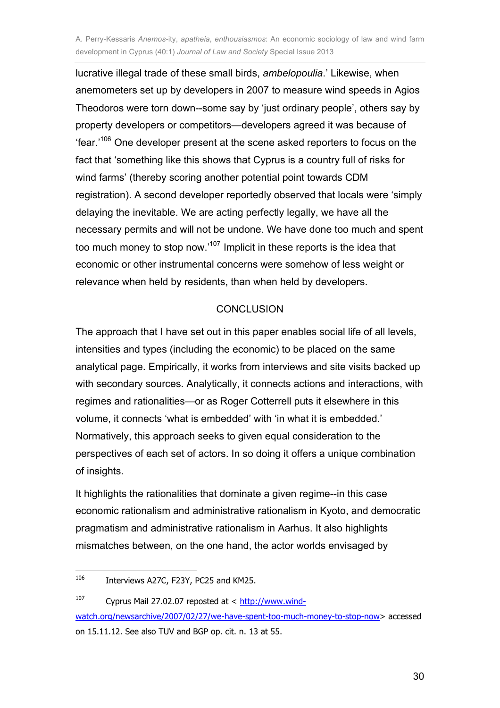lucrative illegal trade of these small birds, *ambelopoulia*.' Likewise, when anemometers set up by developers in 2007 to measure wind speeds in Agios Theodoros were torn down--some say by 'just ordinary people', others say by property developers or competitors—developers agreed it was because of 'fear.'<sup>106</sup> One developer present at the scene asked reporters to focus on the fact that 'something like this shows that Cyprus is a country full of risks for wind farms' (thereby scoring another potential point towards CDM registration). A second developer reportedly observed that locals were 'simply delaying the inevitable. We are acting perfectly legally, we have all the necessary permits and will not be undone. We have done too much and spent too much money to stop now.'<sup>107</sup> Implicit in these reports is the idea that economic or other instrumental concerns were somehow of less weight or relevance when held by residents, than when held by developers.

#### **CONCLUSION**

The approach that I have set out in this paper enables social life of all levels, intensities and types (including the economic) to be placed on the same analytical page. Empirically, it works from interviews and site visits backed up with secondary sources. Analytically, it connects actions and interactions, with regimes and rationalities—or as Roger Cotterrell puts it elsewhere in this volume, it connects 'what is embedded' with 'in what it is embedded.' Normatively, this approach seeks to given equal consideration to the perspectives of each set of actors. In so doing it offers a unique combination of insights.

It highlights the rationalities that dominate a given regime--in this case economic rationalism and administrative rationalism in Kyoto, and democratic pragmatism and administrative rationalism in Aarhus. It also highlights mismatches between, on the one hand, the actor worlds envisaged by

30

<sup>&</sup>lt;u>106</u> Interviews A27C, F23Y, PC25 and KM25.

<sup>107</sup> Cyprus Mail 27.02.07 reposted at < http://www.windwatch.org/newsarchive/2007/02/27/we-have-spent-too-much-money-to-stop-now> accessed on 15.11.12. See also TUV and BGP op. cit. n. 13 at 55.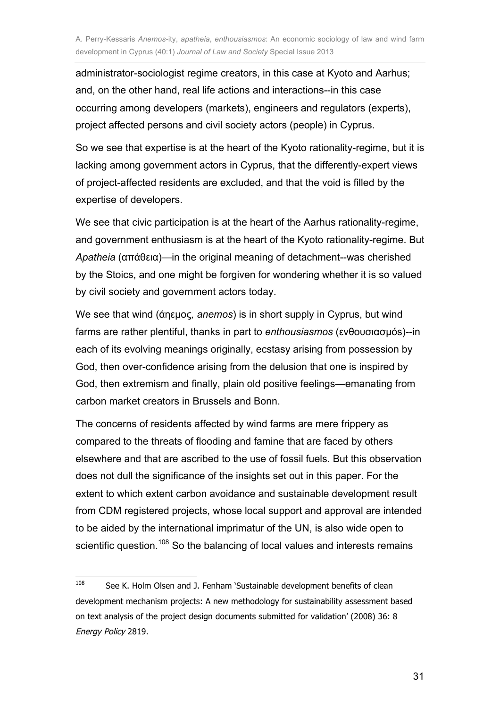administrator-sociologist regime creators, in this case at Kyoto and Aarhus; and, on the other hand, real life actions and interactions--in this case occurring among developers (markets), engineers and regulators (experts), project affected persons and civil society actors (people) in Cyprus.

So we see that expertise is at the heart of the Kyoto rationality-regime, but it is lacking among government actors in Cyprus, that the differently-expert views of project-affected residents are excluded, and that the void is filled by the expertise of developers.

We see that civic participation is at the heart of the Aarhus rationality-regime, and government enthusiasm is at the heart of the Kyoto rationality-regime. But *Apatheia* (απάθεια)—in the original meaning of detachment--was cherished by the Stoics, and one might be forgiven for wondering whether it is so valued by civil society and government actors today.

We see that wind (άηεµος*, anemos*) is in short supply in Cyprus, but wind farms are rather plentiful, thanks in part to *enthousiasmos* (ενθουσιασµόs)--in each of its evolving meanings originally, ecstasy arising from possession by God, then over-confidence arising from the delusion that one is inspired by God, then extremism and finally, plain old positive feelings—emanating from carbon market creators in Brussels and Bonn.

The concerns of residents affected by wind farms are mere frippery as compared to the threats of flooding and famine that are faced by others elsewhere and that are ascribed to the use of fossil fuels. But this observation does not dull the significance of the insights set out in this paper. For the extent to which extent carbon avoidance and sustainable development result from CDM registered projects, whose local support and approval are intended to be aided by the international imprimatur of the UN, is also wide open to scientific question.<sup>108</sup> So the balancing of local values and interests remains

 108 See K. Holm Olsen and J. Fenham 'Sustainable development benefits of clean development mechanism projects: A new methodology for sustainability assessment based on text analysis of the project design documents submitted for validation' (2008) 36: 8 Energy Policy 2819.